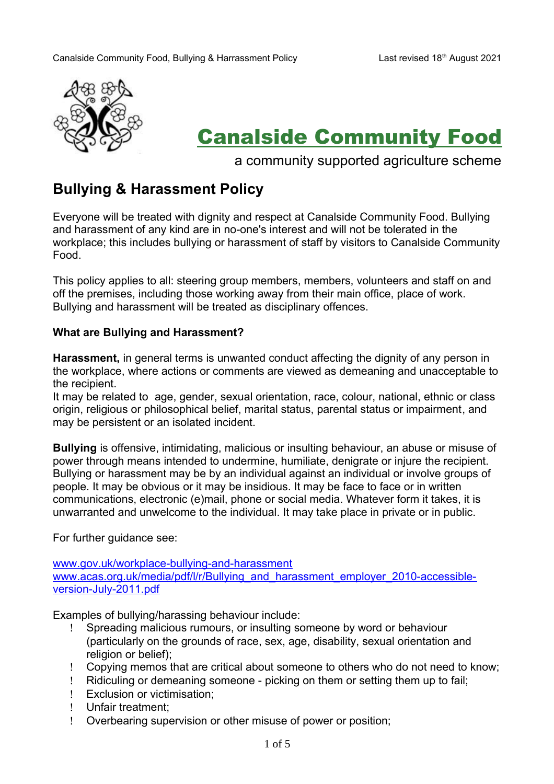

# Canalside Community Food

a community supported agriculture scheme

# **Bullying & Harassment Policy**

Everyone will be treated with dignity and respect at Canalside Community Food. Bullying and harassment of any kind are in no-one's interest and will not be tolerated in the workplace; this includes bullying or harassment of staff by visitors to Canalside Community Food.

This policy applies to all: steering group members, members, volunteers and staff on and off the premises, including those working away from their main office, place of work. Bullying and harassment will be treated as disciplinary offences.

#### **What are Bullying and Harassment?**

**Harassment,** in general terms is unwanted conduct affecting the dignity of any person in the workplace, where actions or comments are viewed as demeaning and unacceptable to the recipient.

It may be related to age, gender, sexual orientation, race, colour, national, ethnic or class origin, religious or philosophical belief, marital status, parental status or impairment, and may be persistent or an isolated incident.

**Bullying** is offensive, intimidating, malicious or insulting behaviour, an abuse or misuse of power through means intended to undermine, humiliate, denigrate or injure the recipient. Bullying or harassment may be by an individual against an individual or involve groups of people. It may be obvious or it may be insidious. It may be face to face or in written communications, electronic (e)mail, phone or social media. Whatever form it takes, it is unwarranted and unwelcome to the individual. It may take place in private or in public.

For further guidance see:

[www.gov.uk/workplace-bullying-and-harassment](http://www.gov.uk/workplace-bullying-and-harassment) [www.acas.org.uk/media/pdf/l/r/Bullying\\_and\\_harassment\\_employer\\_2010-accessible](http://www.acas.org.uk/media/pdf/l/r/Bullying_and_harassment_employer_2010-accessible-version-July-2011.pdf)[version-July-2011.pdf](http://www.acas.org.uk/media/pdf/l/r/Bullying_and_harassment_employer_2010-accessible-version-July-2011.pdf)

Examples of bullying/harassing behaviour include:

- Spreading malicious rumours, or insulting someone by word or behaviour (particularly on the grounds of race, sex, age, disability, sexual orientation and religion or belief);
- Copying memos that are critical about someone to others who do not need to know;
- Ridiculing or demeaning someone picking on them or setting them up to fail;
- Exclusion or victimisation;
- ! Unfair treatment:
- Overbearing supervision or other misuse of power or position;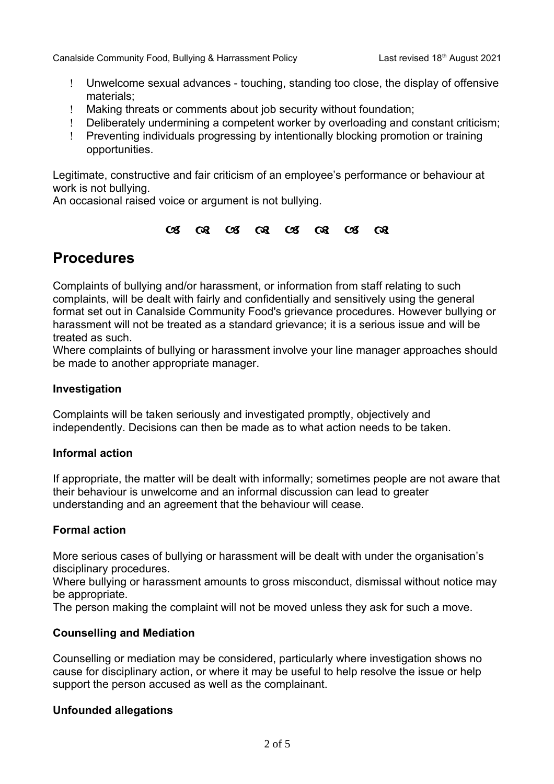- Unwelcome sexual advances touching, standing too close, the display of offensive materials;
- Making threats or comments about job security without foundation;
- Deliberately undermining a competent worker by overloading and constant criticism;
- Preventing individuals progressing by intentionally blocking promotion or training opportunities.

Legitimate, constructive and fair criticism of an employee's performance or behaviour at work is not bullying.

An occasional raised voice or argument is not bullying.

### $C3$   $C3$   $C3$   $C3$   $C3$   $C3$   $C3$   $C3$

## **Procedures**

Complaints of bullying and/or harassment, or information from staff relating to such complaints, will be dealt with fairly and confidentially and sensitively using the general format set out in Canalside Community Food's grievance procedures. However bullying or harassment will not be treated as a standard grievance; it is a serious issue and will be treated as such.

Where complaints of bullying or harassment involve your line manager approaches should be made to another appropriate manager.

## **Investigation**

Complaints will be taken seriously and investigated promptly, objectively and independently. Decisions can then be made as to what action needs to be taken.

## **Informal action**

If appropriate, the matter will be dealt with informally; sometimes people are not aware that their behaviour is unwelcome and an informal discussion can lead to greater understanding and an agreement that the behaviour will cease.

## **Formal action**

More serious cases of bullying or harassment will be dealt with under the organisation's disciplinary procedures.

Where bullying or harassment amounts to gross misconduct, dismissal without notice may be appropriate.

The person making the complaint will not be moved unless they ask for such a move.

## **Counselling and Mediation**

Counselling or mediation may be considered, particularly where investigation shows no cause for disciplinary action, or where it may be useful to help resolve the issue or help support the person accused as well as the complainant.

## **Unfounded allegations**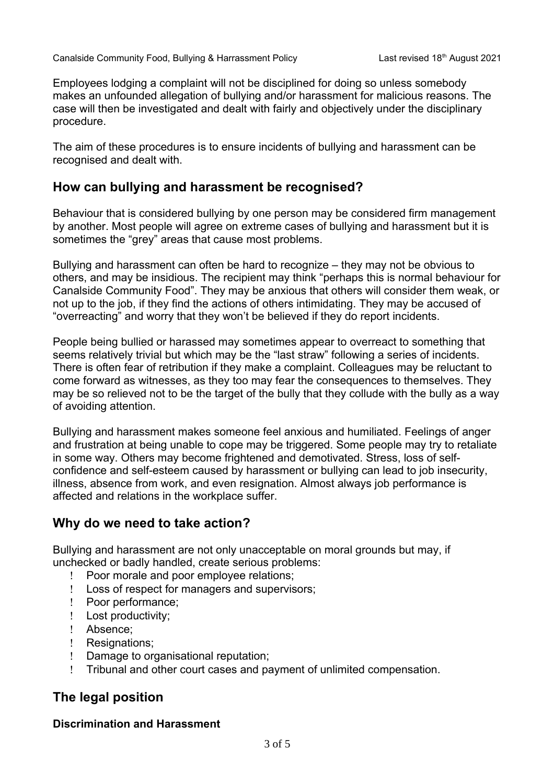Employees lodging a complaint will not be disciplined for doing so unless somebody makes an unfounded allegation of bullying and/or harassment for malicious reasons. The case will then be investigated and dealt with fairly and objectively under the disciplinary procedure.

The aim of these procedures is to ensure incidents of bullying and harassment can be recognised and dealt with.

## **How can bullying and harassment be recognised?**

Behaviour that is considered bullying by one person may be considered firm management by another. Most people will agree on extreme cases of bullying and harassment but it is sometimes the "grey" areas that cause most problems.

Bullying and harassment can often be hard to recognize – they may not be obvious to others, and may be insidious. The recipient may think "perhaps this is normal behaviour for Canalside Community Food". They may be anxious that others will consider them weak, or not up to the job, if they find the actions of others intimidating. They may be accused of "overreacting" and worry that they won't be believed if they do report incidents.

People being bullied or harassed may sometimes appear to overreact to something that seems relatively trivial but which may be the "last straw" following a series of incidents. There is often fear of retribution if they make a complaint. Colleagues may be reluctant to come forward as witnesses, as they too may fear the consequences to themselves. They may be so relieved not to be the target of the bully that they collude with the bully as a way of avoiding attention.

Bullying and harassment makes someone feel anxious and humiliated. Feelings of anger and frustration at being unable to cope may be triggered. Some people may try to retaliate in some way. Others may become frightened and demotivated. Stress, loss of selfconfidence and self-esteem caused by harassment or bullying can lead to job insecurity, illness, absence from work, and even resignation. Almost always job performance is affected and relations in the workplace suffer.

## **Why do we need to take action?**

Bullying and harassment are not only unacceptable on moral grounds but may, if unchecked or badly handled, create serious problems:

- Poor morale and poor employee relations;
- Loss of respect for managers and supervisors;
- Poor performance;
- ! Lost productivity;
- Absence;
- ! Resignations;
- Damage to organisational reputation;
- Tribunal and other court cases and payment of unlimited compensation.

## **The legal position**

#### **Discrimination and Harassment**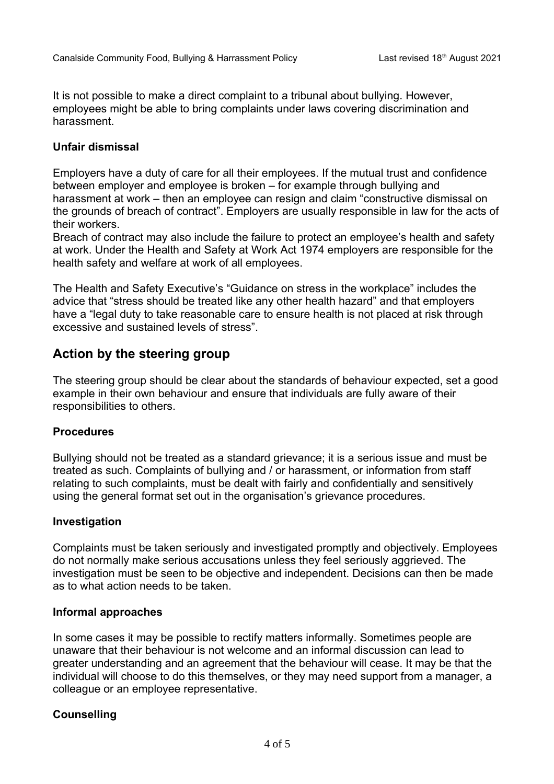It is not possible to make a direct complaint to a tribunal about bullying. However, employees might be able to bring complaints under laws covering discrimination and harassment.

#### **Unfair dismissal**

Employers have a duty of care for all their employees. If the mutual trust and confidence between employer and employee is broken – for example through bullying and harassment at work – then an employee can resign and claim "constructive dismissal on the grounds of breach of contract". Employers are usually responsible in law for the acts of their workers.

Breach of contract may also include the failure to protect an employee's health and safety at work. Under the Health and Safety at Work Act 1974 employers are responsible for the health safety and welfare at work of all employees.

The Health and Safety Executive's "Guidance on stress in the workplace" includes the advice that "stress should be treated like any other health hazard" and that employers have a "legal duty to take reasonable care to ensure health is not placed at risk through excessive and sustained levels of stress".

## **Action by the steering group**

The steering group should be clear about the standards of behaviour expected, set a good example in their own behaviour and ensure that individuals are fully aware of their responsibilities to others.

#### **Procedures**

Bullying should not be treated as a standard grievance; it is a serious issue and must be treated as such. Complaints of bullying and / or harassment, or information from staff relating to such complaints, must be dealt with fairly and confidentially and sensitively using the general format set out in the organisation's grievance procedures.

#### **Investigation**

Complaints must be taken seriously and investigated promptly and objectively. Employees do not normally make serious accusations unless they feel seriously aggrieved. The investigation must be seen to be objective and independent. Decisions can then be made as to what action needs to be taken.

#### **Informal approaches**

In some cases it may be possible to rectify matters informally. Sometimes people are unaware that their behaviour is not welcome and an informal discussion can lead to greater understanding and an agreement that the behaviour will cease. It may be that the individual will choose to do this themselves, or they may need support from a manager, a colleague or an employee representative.

#### **Counselling**